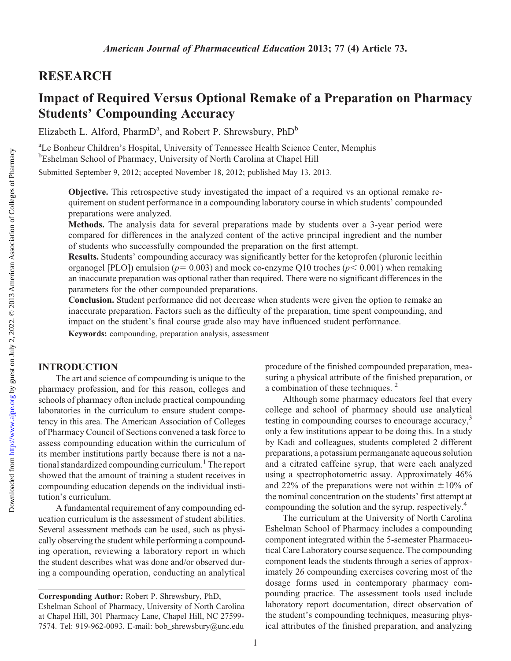## RESEARCH

# Impact of Required Versus Optional Remake of a Preparation on Pharmacy Students' Compounding Accuracy

Elizabeth L. Alford, PharmD<sup>a</sup>, and Robert P. Shrewsbury, PhD<sup>b</sup>

<sup>a</sup>Le Bonheur Children's Hospital, University of Tennessee Health Science Center, Memphis <sup>b</sup>Eshelman School of Pharmacy, University of North Carolina at Chapel Hill

Submitted September 9, 2012; accepted November 18, 2012; published May 13, 2013.

Objective. This retrospective study investigated the impact of a required vs an optional remake requirement on student performance in a compounding laboratory course in which students' compounded preparations were analyzed.

Methods. The analysis data for several preparations made by students over a 3-year period were compared for differences in the analyzed content of the active principal ingredient and the number of students who successfully compounded the preparation on the first attempt.

Results. Students' compounding accuracy was significantly better for the ketoprofen (pluronic lecithin organogel [PLO]) emulsion ( $p= 0.003$ ) and mock co-enzyme Q10 troches ( $p < 0.001$ ) when remaking an inaccurate preparation was optional rather than required. There were no significant differences in the parameters for the other compounded preparations.

Conclusion. Student performance did not decrease when students were given the option to remake an inaccurate preparation. Factors such as the difficulty of the preparation, time spent compounding, and impact on the student's final course grade also may have influenced student performance.

Keywords: compounding, preparation analysis, assessment

## INTRODUCTION

The art and science of compounding is unique to the pharmacy profession, and for this reason, colleges and schools of pharmacy often include practical compounding laboratories in the curriculum to ensure student competency in this area. The American Association of Colleges of Pharmacy Council of Sections convened a task force to assess compounding education within the curriculum of its member institutions partly because there is not a national standardized compounding curriculum.<sup>1</sup> The report showed that the amount of training a student receives in compounding education depends on the individual institution's curriculum.

A fundamental requirement of any compounding education curriculum is the assessment of student abilities. Several assessment methods can be used, such as physically observing the student while performing a compounding operation, reviewing a laboratory report in which the student describes what was done and/or observed during a compounding operation, conducting an analytical procedure of the finished compounded preparation, measuring a physical attribute of the finished preparation, or a combination of these techniques.<sup>2</sup>

Although some pharmacy educators feel that every college and school of pharmacy should use analytical testing in compounding courses to encourage accuracy,<sup>3</sup> only a few institutions appear to be doing this. In a study by Kadi and colleagues, students completed 2 different preparations, a potassium permanganate aqueous solution and a citrated caffeine syrup, that were each analyzed using a spectrophotometric assay. Approximately 46% and 22% of the preparations were not within  $\pm 10\%$  of the nominal concentration on the students' first attempt at compounding the solution and the syrup, respectively.<sup>4</sup>

The curriculum at the University of North Carolina Eshelman School of Pharmacy includes a compounding component integrated within the 5-semester Pharmaceutical Care Laboratory course sequence. The compounding component leads the students through a series of approximately 26 compounding exercises covering most of the dosage forms used in contemporary pharmacy compounding practice. The assessment tools used include laboratory report documentation, direct observation of the student's compounding techniques, measuring physical attributes of the finished preparation, and analyzing

1

Corresponding Author: Robert P. Shrewsbury, PhD, Eshelman School of Pharmacy, University of North Carolina at Chapel Hill, 301 Pharmacy Lane, Chapel Hill, NC 27599- 7574. Tel: 919-962-0093. E-mail: bob\_shrewsbury@unc.edu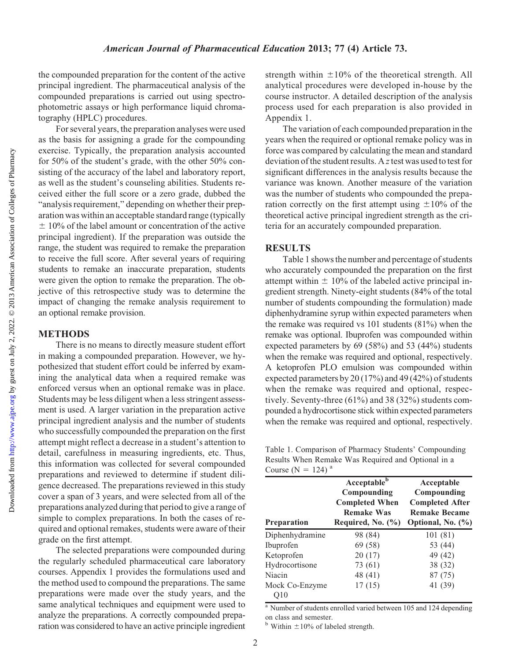the compounded preparation for the content of the active principal ingredient. The pharmaceutical analysis of the compounded preparations is carried out using spectrophotometric assays or high performance liquid chromatography (HPLC) procedures.

For several years, the preparation analyses were used as the basis for assigning a grade for the compounding exercise. Typically, the preparation analysis accounted for 50% of the student's grade, with the other 50% consisting of the accuracy of the label and laboratory report, as well as the student's counseling abilities. Students received either the full score or a zero grade, dubbed the "analysis requirement," depending on whether their preparation was within an acceptable standard range (typically  $\pm$  10% of the label amount or concentration of the active principal ingredient). If the preparation was outside the range, the student was required to remake the preparation to receive the full score. After several years of requiring students to remake an inaccurate preparation, students were given the option to remake the preparation. The objective of this retrospective study was to determine the impact of changing the remake analysis requirement to an optional remake provision.

## METHODS

There is no means to directly measure student effort in making a compounded preparation. However, we hypothesized that student effort could be inferred by examining the analytical data when a required remake was enforced versus when an optional remake was in place. Students may be less diligent when a less stringent assessment is used. A larger variation in the preparation active principal ingredient analysis and the number of students who successfully compounded the preparation on the first attempt might reflect a decrease in a student's attention to detail, carefulness in measuring ingredients, etc. Thus, this information was collected for several compounded preparations and reviewed to determine if student diligence decreased. The preparations reviewed in this study cover a span of 3 years, and were selected from all of the preparations analyzed during that period to give a range of simple to complex preparations. In both the cases of required and optional remakes, students were aware of their grade on the first attempt.

The selected preparations were compounded during the regularly scheduled pharmaceutical care laboratory courses. Appendix 1 provides the formulations used and the method used to compound the preparations. The same preparations were made over the study years, and the same analytical techniques and equipment were used to analyze the preparations. A correctly compounded preparation was considered to have an active principle ingredient

strength within  $\pm 10\%$  of the theoretical strength. All analytical procedures were developed in-house by the course instructor. A detailed description of the analysis process used for each preparation is also provided in Appendix 1.

The variation of each compounded preparation in the years when the required or optional remake policy was in force was compared by calculating the mean and standard deviation of the student results. A  $z$  test was used to test for significant differences in the analysis results because the variance was known. Another measure of the variation was the number of students who compounded the preparation correctly on the first attempt using  $\pm 10\%$  of the theoretical active principal ingredient strength as the criteria for an accurately compounded preparation.

#### RESULTS

Table 1 shows the number and percentage of students who accurately compounded the preparation on the first attempt within  $\pm 10\%$  of the labeled active principal ingredient strength. Ninety-eight students (84% of the total number of students compounding the formulation) made diphenhydramine syrup within expected parameters when the remake was required vs 101 students (81%) when the remake was optional. Ibuprofen was compounded within expected parameters by 69 (58%) and 53 (44%) students when the remake was required and optional, respectively. A ketoprofen PLO emulsion was compounded within expected parameters by 20 (17%) and 49 (42%) of students when the remake was required and optional, respectively. Seventy-three (61%) and 38 (32%) students compounded a hydrocortisone stick within expected parameters when the remake was required and optional, respectively.

Table 1. Comparison of Pharmacy Students' Compounding Results When Remake Was Required and Optional in a Course ( $N = 124$ )<sup>a</sup>

| Preparation           | Acceptable <sup>b</sup><br>Compounding<br><b>Completed When</b><br><b>Remake Was</b><br>Required, No. $(\% )$ | Acceptable<br>Compounding<br><b>Completed After</b><br><b>Remake Became</b><br>Optional, No. (%) |
|-----------------------|---------------------------------------------------------------------------------------------------------------|--------------------------------------------------------------------------------------------------|
| Diphenhydramine       | 98 (84)                                                                                                       | 101 (81)                                                                                         |
| Ibuprofen             | 69 (58)                                                                                                       | 53 (44)                                                                                          |
| Ketoprofen            | 20(17)                                                                                                        | 49 (42)                                                                                          |
| Hydrocortisone        | 73 (61)                                                                                                       | 38 (32)                                                                                          |
| Niacin                | 48 (41)                                                                                                       | 87 (75)                                                                                          |
| Mock Co-Enzyme<br>Э10 | 17(15)                                                                                                        | 41 (39)                                                                                          |

<sup>a</sup> Number of students enrolled varied between 105 and 124 depending on class and semester.

<sup>b</sup> Within  $\pm 10\%$  of labeled strength.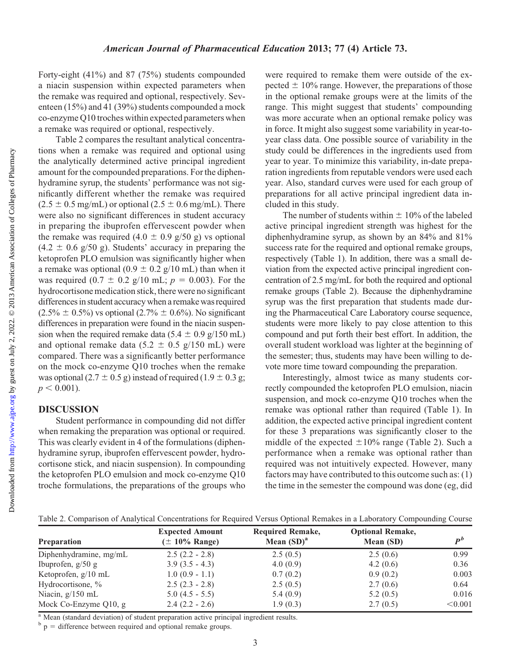Forty-eight (41%) and 87 (75%) students compounded a niacin suspension within expected parameters when the remake was required and optional, respectively. Seventeen (15%) and 41 (39%) students compounded a mock co-enzyme Q10 troches within expected parameters when a remake was required or optional, respectively.

Table 2 compares the resultant analytical concentrations when a remake was required and optional using the analytically determined active principal ingredient amount for the compounded preparations. For the diphenhydramine syrup, the students' performance was not significantly different whether the remake was required  $(2.5 \pm 0.5 \text{ mg/mL})$  or optional  $(2.5 \pm 0.6 \text{ mg/mL})$ . There were also no significant differences in student accuracy in preparing the ibuprofen effervescent powder when the remake was required  $(4.0 \pm 0.9 \text{ g}/50 \text{ g})$  vs optional  $(4.2 \pm 0.6 \text{ g}/50 \text{ g})$ . Students' accuracy in preparing the ketoprofen PLO emulsion was significantly higher when a remake was optional (0.9  $\pm$  0.2 g/10 mL) than when it was required (0.7  $\pm$  0.2 g/10 mL;  $p = 0.003$ ). For the hydrocortisone medication stick, there were no significant differences in student accuracy when a remake was required  $(2.5\% \pm 0.5\%)$  vs optional  $(2.7\% \pm 0.6\%)$ . No significant differences in preparation were found in the niacin suspension when the required remake data (5.4  $\pm$  0.9 g/150 mL) and optional remake data (5.2  $\pm$  0.5 g/150 mL) were compared. There was a significantly better performance on the mock co-enzyme Q10 troches when the remake was optional (2.7  $\pm$  0.5 g) instead of required (1.9  $\pm$  0.3 g;  $p < 0.001$ ).

## DISCUSSION

Student performance in compounding did not differ when remaking the preparation was optional or required. This was clearly evident in 4 of the formulations (diphenhydramine syrup, ibuprofen effervescent powder, hydrocortisone stick, and niacin suspension). In compounding the ketoprofen PLO emulsion and mock co-enzyme Q10 troche formulations, the preparations of the groups who were required to remake them were outside of the expected  $\pm$  10% range. However, the preparations of those in the optional remake groups were at the limits of the range. This might suggest that students' compounding was more accurate when an optional remake policy was in force. It might also suggest some variability in year-toyear class data. One possible source of variability in the study could be differences in the ingredients used from year to year. To minimize this variability, in-date preparation ingredients from reputable vendors were used each year. Also, standard curves were used for each group of preparations for all active principal ingredient data included in this study.

The number of students within  $\pm 10\%$  of the labeled active principal ingredient strength was highest for the diphenhydramine syrup, as shown by an 84% and 81% success rate for the required and optional remake groups, respectively (Table 1). In addition, there was a small deviation from the expected active principal ingredient concentration of 2.5 mg/mL for both the required and optional remake groups (Table 2). Because the diphenhydramine syrup was the first preparation that students made during the Pharmaceutical Care Laboratory course sequence, students were more likely to pay close attention to this compound and put forth their best effort. In addition, the overall student workload was lighter at the beginning of the semester; thus, students may have been willing to devote more time toward compounding the preparation.

Interestingly, almost twice as many students correctly compounded the ketoprofen PLO emulsion, niacin suspension, and mock co-enzyme Q10 troches when the remake was optional rather than required (Table 1). In addition, the expected active principal ingredient content for these 3 preparations was significantly closer to the middle of the expected  $\pm 10\%$  range (Table 2). Such a performance when a remake was optional rather than required was not intuitively expected. However, many factors may have contributed to this outcome such as: (1) the time in the semester the compound was done (eg, did

Table 2. Comparison of Analytical Concentrations for Required Versus Optional Remakes in a Laboratory Compounding Course

|                          | <b>Expected Amount</b> | <b>Required Remake,</b> | <b>Optional Remake,</b> |                                   |
|--------------------------|------------------------|-------------------------|-------------------------|-----------------------------------|
| <b>Preparation</b>       | $(\pm 10\%$ Range)     | Mean $(SD)^a$           | Mean (SD)               | $\boldsymbol{p}^{\boldsymbol{b}}$ |
| Diphenhydramine, mg/mL   | $2.5(2.2 - 2.8)$       | 2.5(0.5)                | 2.5(0.6)                | 0.99                              |
| Ibuprofen, $g/50 g$      | $3.9(3.5 - 4.3)$       | 4.0(0.9)                | 4.2 $(0.6)$             | 0.36                              |
| Ketoprofen, $g/10$ mL    | $1.0(0.9 - 1.1)$       | 0.7(0.2)                | 0.9(0.2)                | 0.003                             |
| Hydrocortisone, %        | $2.5(2.3 - 2.8)$       | 2.5(0.5)                | 2.7(0.6)                | 0.64                              |
| Niacin, $g/150$ mL       | $5.0(4.5 - 5.5)$       | 5.4(0.9)                | 5.2 $(0.5)$             | 0.016                             |
| Mock Co-Enzyme $Q10$ , g | $2.4(2.2 - 2.6)$       | 1.9(0.3)                | 2.7(0.5)                | < 0.001                           |

<sup>a</sup> Mean (standard deviation) of student preparation active principal ingredient results.

 $b$  p = difference between required and optional remake groups.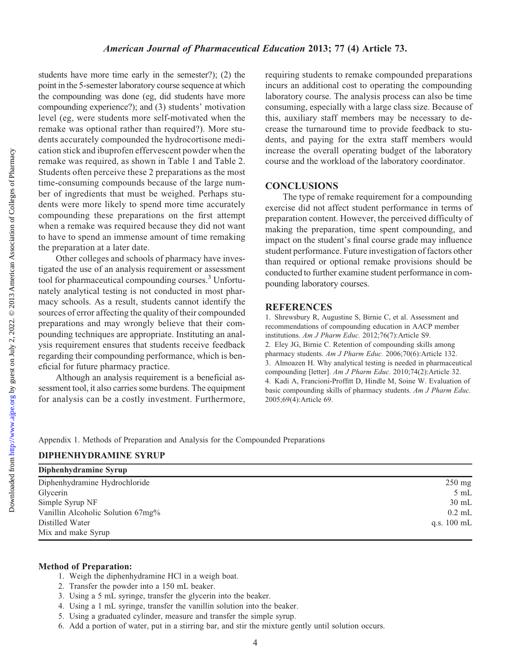students have more time early in the semester?); (2) the point in the 5-semester laboratory course sequence at which the compounding was done (eg, did students have more compounding experience?); and (3) students' motivation level (eg, were students more self-motivated when the remake was optional rather than required?). More students accurately compounded the hydrocortisone medication stick and ibuprofen effervescent powder when the remake was required, as shown in Table 1 and Table 2. Students often perceive these 2 preparations as the most time-consuming compounds because of the large number of ingredients that must be weighed. Perhaps students were more likely to spend more time accurately compounding these preparations on the first attempt when a remake was required because they did not want to have to spend an immense amount of time remaking the preparation at a later date.

Other colleges and schools of pharmacy have investigated the use of an analysis requirement or assessment tool for pharmaceutical compounding courses.<sup>3</sup> Unfortunately analytical testing is not conducted in most pharmacy schools. As a result, students cannot identify the sources of error affecting the quality of their compounded preparations and may wrongly believe that their compounding techniques are appropriate. Instituting an analysis requirement ensures that students receive feedback regarding their compounding performance, which is beneficial for future pharmacy practice.

Although an analysis requirement is a beneficial assessment tool, it also carries some burdens. The equipment for analysis can be a costly investment. Furthermore, requiring students to remake compounded preparations incurs an additional cost to operating the compounding laboratory course. The analysis process can also be time consuming, especially with a large class size. Because of this, auxiliary staff members may be necessary to decrease the turnaround time to provide feedback to students, and paying for the extra staff members would increase the overall operating budget of the laboratory course and the workload of the laboratory coordinator.

#### **CONCLUSIONS**

The type of remake requirement for a compounding exercise did not affect student performance in terms of preparation content. However, the perceived difficulty of making the preparation, time spent compounding, and impact on the student's final course grade may influence student performance. Future investigation of factors other than required or optional remake provisions should be conducted to further examine student performance in compounding laboratory courses.

#### **REFERENCES**

1. Shrewsbury R, Augustine S, Birnie C, et al. Assessment and recommendations of compounding education in AACP member institutions. Am J Pharm Educ. 2012;76(7):Article S9. 2. Eley JG, Birnie C. Retention of compounding skills among pharmacy students. Am J Pharm Educ. 2006;70(6):Article 132. 3. Almoazen H. Why analytical testing is needed in pharmaceutical compounding [letter]. Am J Pharm Educ. 2010;74(2):Article 32. 4. Kadi A, Francioni-Proffitt D, Hindle M, Soine W. Evaluation of basic compounding skills of pharmacy students. Am J Pharm Educ. 2005;69(4):Article 69.

Appendix 1. Methods of Preparation and Analysis for the Compounded Preparations

#### DIPHENHYDRAMINE SYRUP

| Diphenhydramine Syrup             |                       |
|-----------------------------------|-----------------------|
| Diphenhydramine Hydrochloride     | $250$ mg              |
| Glycerin                          | $5 \text{ mL}$        |
| Simple Syrup NF                   | $30 \text{ mL}$       |
| Vanillin Alcoholic Solution 67mg% | $0.2$ mL              |
| Distilled Water                   | q.s. $100 \text{ mL}$ |
| Mix and make Syrup                |                       |

#### Method of Preparation:

- 1. Weigh the diphenhydramine HCl in a weigh boat.
- 2. Transfer the powder into a 150 mL beaker.
- 3. Using a 5 mL syringe, transfer the glycerin into the beaker.
- 4. Using a 1 mL syringe, transfer the vanillin solution into the beaker.
- 5. Using a graduated cylinder, measure and transfer the simple syrup.
- 6. Add a portion of water, put in a stirring bar, and stir the mixture gently until solution occurs.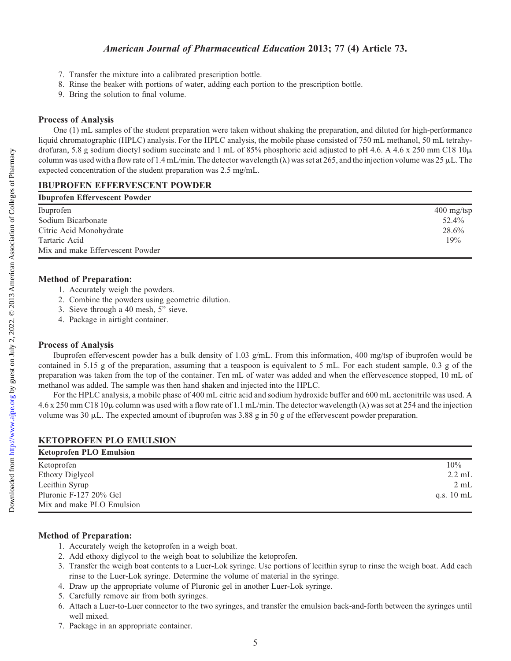- 7. Transfer the mixture into a calibrated prescription bottle.
- 8. Rinse the beaker with portions of water, adding each portion to the prescription bottle.
- 9. Bring the solution to final volume.

## Process of Analysis

One (1) mL samples of the student preparation were taken without shaking the preparation, and diluted for high-performance liquid chromatographic (HPLC) analysis. For the HPLC analysis, the mobile phase consisted of 750 mL methanol, 50 mL tetrahydrofuran, 5.8 g sodium dioctyl sodium succinate and 1 mL of 85% phosphoric acid adjusted to pH 4.6. A 4.6 x 250 mm C18  $10\mu$ column was used with a flow rate of 1.4 mL/min. The detector wavelength ( $\lambda$ ) was set at 265, and the injection volume was 25  $\mu$ L. The expected concentration of the student preparation was 2.5 mg/mL.

## IBUPROFEN EFFERVESCENT POWDER

| <b>Ibuprofen Effervescent Powder</b> |              |
|--------------------------------------|--------------|
| Ibuprofen                            | $400$ mg/tsp |
| Sodium Bicarbonate                   | 52.4%        |
| Citric Acid Monohydrate              | 28.6%        |
| Tartaric Acid                        | 19%          |
| Mix and make Effervescent Powder     |              |

## Method of Preparation:

- 1. Accurately weigh the powders.
- 2. Combine the powders using geometric dilution.
- 3. Sieve through a 40 mesh, 5" sieve.
- 4. Package in airtight container.

#### Process of Analysis

Ibuprofen effervescent powder has a bulk density of 1.03 g/mL. From this information, 400 mg/tsp of ibuprofen would be contained in 5.15 g of the preparation, assuming that a teaspoon is equivalent to 5 mL. For each student sample, 0.3 g of the preparation was taken from the top of the container. Ten mL of water was added and when the effervescence stopped, 10 mL of methanol was added. The sample was then hand shaken and injected into the HPLC.

For the HPLC analysis, a mobile phase of 400 mL citric acid and sodium hydroxide buffer and 600 mL acetonitrile was used. A  $4.6 \times 250$  mm C18 10 $\mu$  column was used with a flow rate of 1.1 mL/min. The detector wavelength ( $\lambda$ ) was set at 254 and the injection volume was 30  $\mu$ L. The expected amount of ibuprofen was 3.88 g in 50 g of the effervescent powder preparation.

| <b>KETOPROFEN PLO EMULSION</b> |                      |
|--------------------------------|----------------------|
| <b>Ketoprofen PLO Emulsion</b> |                      |
| Ketoprofen                     | 10%                  |
| Ethoxy Diglycol                | $2.2 \text{ mL}$     |
| Lecithin Syrup                 | $2 \text{ mL}$       |
| Pluronic F-127 20% Gel         | q.s. $10 \text{ mL}$ |
| Mix and make PLO Emulsion      |                      |

## Method of Preparation:

- 1. Accurately weigh the ketoprofen in a weigh boat.
- 2. Add ethoxy diglycol to the weigh boat to solubilize the ketoprofen.
- 3. Transfer the weigh boat contents to a Luer-Lok syringe. Use portions of lecithin syrup to rinse the weigh boat. Add each rinse to the Luer-Lok syringe. Determine the volume of material in the syringe.
- 4. Draw up the appropriate volume of Pluronic gel in another Luer-Lok syringe.
- 5. Carefully remove air from both syringes.
- 6. Attach a Luer-to-Luer connector to the two syringes, and transfer the emulsion back-and-forth between the syringes until well mixed.
- 7. Package in an appropriate container.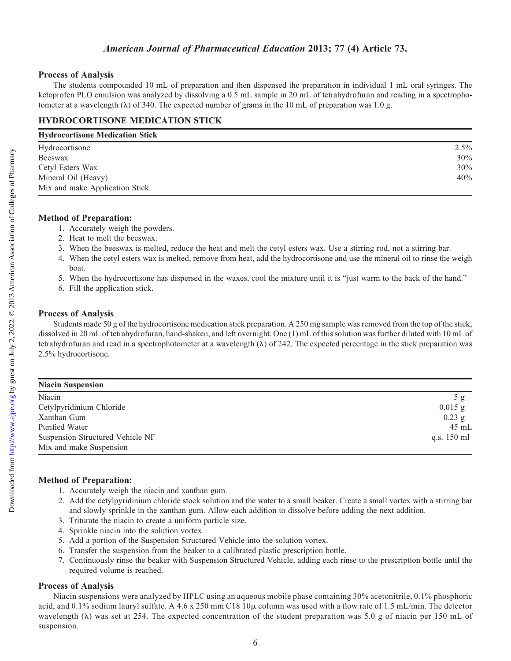## American Journal of Pharmaceutical Education 2013; 77 (4) Article 73.

#### Process of Analysis

The students compounded 10 mL of preparation and then dispensed the preparation in individual 1 mL oral syringes. The ketoprofen PLO emulsion was analyzed by dissolving a 0.5 mL sample in 20 mL of tetrahydrofuran and reading in a spectrophotometer at a wavelength  $(\lambda)$  of 340. The expected number of grams in the 10 mL of preparation was 1.0 g.

## HYDROCORTISONE MEDICATION STICK

| <b>Hydrocortisone Medication Stick</b> |         |  |
|----------------------------------------|---------|--|
| Hydrocortisone                         | $2.5\%$ |  |
| Beeswax                                | 30%     |  |
| Cetyl Esters Wax                       | 30%     |  |
| Mineral Oil (Heavy)                    | 40%     |  |
| Mix and make Application Stick         |         |  |

#### Method of Preparation:

- 1. Accurately weigh the powders.
- 2. Heat to melt the beeswax.
- 3. When the beeswax is melted, reduce the heat and melt the cetyl esters wax. Use a stirring rod, not a stirring bar.
- 4. When the cetyl esters wax is melted, remove from heat, add the hydrocortisone and use the mineral oil to rinse the weigh boat.
	- 5. When the hydrocortisone has dispersed in the waxes, cool the mixture until it is "just warm to the back of the hand."
	- 6. Fill the application stick.

#### Process of Analysis

Students made 50 g of the hydrocortisone medication stick preparation. A 250 mg sample was removed from the top of the stick, dissolved in 20 mL of tetrahydrofuran, hand-shaken, and left overnight. One (1) mL of this solution was further diluted with 10 mL of tetrahydrofuran and read in a spectrophotometer at a wavelength  $(\lambda)$  of 242. The expected percentage in the stick preparation was 2.5% hydrocortisone.

| <b>Niacin Suspension</b>                |                 |
|-----------------------------------------|-----------------|
| Niacin                                  | 5g              |
| Cetylpyridinium Chloride                | $0.015$ g       |
| Xanthan Gum                             | $0.23$ g        |
| Purified Water                          | $45 \text{ mL}$ |
| <b>Suspension Structured Vehicle NF</b> | q.s. 150 ml     |
| Mix and make Suspension                 |                 |

## Method of Preparation:

- 1. Accurately weigh the niacin and xanthan gum.
- 2. Add the cetylpyridinium chloride stock solution and the water to a small beaker. Create a small vortex with a stirring bar and slowly sprinkle in the xanthan gum. Allow each addition to dissolve before adding the next addition.
- 3. Triturate the niacin to create a uniform particle size.
- 4. Sprinkle niacin into the solution vortex.
- 5. Add a portion of the Suspension Structured Vehicle into the solution vortex.
- 6. Transfer the suspension from the beaker to a calibrated plastic prescription bottle.
- 7. Continuously rinse the beaker with Suspension Structured Vehicle, adding each rinse to the prescription bottle until the required volume is reached.

#### Process of Analysis

Niacin suspensions were analyzed by HPLC using an aqueous mobile phase containing 30% acetonitrile, 0.1% phosphoric acid, and 0.1% sodium lauryl sulfate. A 4.6 x 250 mm C18 10 $\mu$  column was used with a flow rate of 1.5 mL/min. The detector wavelength ( $\lambda$ ) was set at 254. The expected concentration of the student preparation was 5.0 g of niacin per 150 mL of suspension.